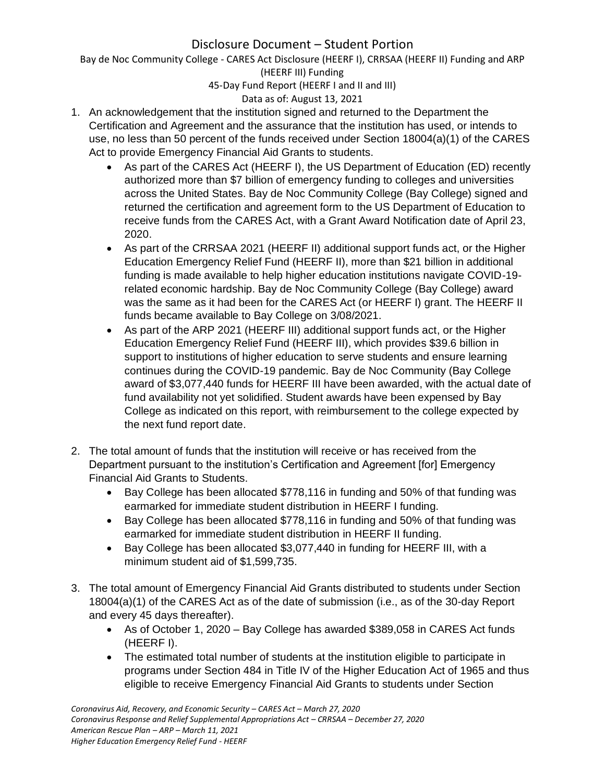Bay de Noc Community College - CARES Act Disclosure (HEERF I), CRRSAA (HEERF II) Funding and ARP (HEERF III) Funding

45-Day Fund Report (HEERF I and II and III)

## Data as of: August 13, 2021

- 1. An acknowledgement that the institution signed and returned to the Department the Certification and Agreement and the assurance that the institution has used, or intends to use, no less than 50 percent of the funds received under Section 18004(a)(1) of the CARES Act to provide Emergency Financial Aid Grants to students.
	- As part of the CARES Act (HEERF I), the US Department of Education (ED) recently authorized more than \$7 billion of emergency funding to colleges and universities across the United States. Bay de Noc Community College (Bay College) signed and returned the certification and agreement form to the US Department of Education to receive funds from the CARES Act, with a Grant Award Notification date of April 23, 2020.
	- As part of the CRRSAA 2021 (HEERF II) additional support funds act, or the Higher Education Emergency Relief Fund (HEERF II), more than \$21 billion in additional funding is made available to help higher education institutions navigate COVID-19 related economic hardship. Bay de Noc Community College (Bay College) award was the same as it had been for the CARES Act (or HEERF I) grant. The HEERF II funds became available to Bay College on 3/08/2021.
	- As part of the ARP 2021 (HEERF III) additional support funds act, or the Higher Education Emergency Relief Fund (HEERF III), which provides \$39.6 billion in support to institutions of higher education to serve students and ensure learning continues during the COVID-19 pandemic. Bay de Noc Community (Bay College award of \$3,077,440 funds for HEERF III have been awarded, with the actual date of fund availability not yet solidified. Student awards have been expensed by Bay College as indicated on this report, with reimbursement to the college expected by the next fund report date.
- 2. The total amount of funds that the institution will receive or has received from the Department pursuant to the institution's Certification and Agreement [for] Emergency Financial Aid Grants to Students.
	- Bay College has been allocated \$778,116 in funding and 50% of that funding was earmarked for immediate student distribution in HEERF I funding.
	- Bay College has been allocated \$778,116 in funding and 50% of that funding was earmarked for immediate student distribution in HEERF II funding.
	- Bay College has been allocated \$3,077,440 in funding for HEERF III, with a minimum student aid of \$1,599,735.
- 3. The total amount of Emergency Financial Aid Grants distributed to students under Section 18004(a)(1) of the CARES Act as of the date of submission (i.e., as of the 30-day Report and every 45 days thereafter).
	- As of October 1, 2020 Bay College has awarded \$389,058 in CARES Act funds (HEERF I).
	- The estimated total number of students at the institution eligible to participate in programs under Section 484 in Title IV of the Higher Education Act of 1965 and thus eligible to receive Emergency Financial Aid Grants to students under Section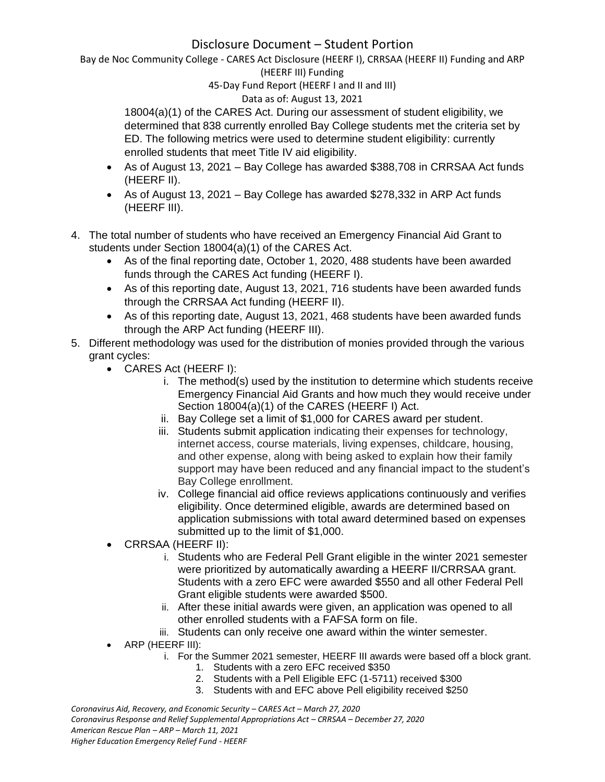Bay de Noc Community College - CARES Act Disclosure (HEERF I), CRRSAA (HEERF II) Funding and ARP (HEERF III) Funding

### 45-Day Fund Report (HEERF I and II and III)

### Data as of: August 13, 2021

18004(a)(1) of the CARES Act. During our assessment of student eligibility, we determined that 838 currently enrolled Bay College students met the criteria set by ED. The following metrics were used to determine student eligibility: currently enrolled students that meet Title IV aid eligibility.

- As of August 13, 2021 Bay College has awarded \$388,708 in CRRSAA Act funds (HEERF II).
- As of August 13, 2021 Bay College has awarded \$278,332 in ARP Act funds (HEERF III).
- 4. The total number of students who have received an Emergency Financial Aid Grant to students under Section 18004(a)(1) of the CARES Act.
	- As of the final reporting date, October 1, 2020, 488 students have been awarded funds through the CARES Act funding (HEERF I).
	- As of this reporting date, August 13, 2021, 716 students have been awarded funds through the CRRSAA Act funding (HEERF II).
	- As of this reporting date, August 13, 2021, 468 students have been awarded funds through the ARP Act funding (HEERF III).
- 5. Different methodology was used for the distribution of monies provided through the various grant cycles:
	- CARES Act (HEERF I):
		- i. The method(s) used by the institution to determine which students receive Emergency Financial Aid Grants and how much they would receive under Section 18004(a)(1) of the CARES (HEERF I) Act.
		- ii. Bay College set a limit of \$1,000 for CARES award per student.
		- iii. Students submit application indicating their expenses for technology, internet access, course materials, living expenses, childcare, housing, and other expense, along with being asked to explain how their family support may have been reduced and any financial impact to the student's Bay College enrollment.
		- iv. College financial aid office reviews applications continuously and verifies eligibility. Once determined eligible, awards are determined based on application submissions with total award determined based on expenses submitted up to the limit of \$1,000.
	- CRRSAA (HEERF II):
		- i. Students who are Federal Pell Grant eligible in the winter 2021 semester were prioritized by automatically awarding a HEERF II/CRRSAA grant. Students with a zero EFC were awarded \$550 and all other Federal Pell Grant eligible students were awarded \$500.
		- ii. After these initial awards were given, an application was opened to all other enrolled students with a FAFSA form on file.
		- iii. Students can only receive one award within the winter semester.
	- ARP (HEERF III):
		- i. For the Summer 2021 semester, HEERF III awards were based off a block grant.
			- 1. Students with a zero EFC received \$350
			- 2. Students with a Pell Eligible EFC (1-5711) received \$300
			- 3. Students with and EFC above Pell eligibility received \$250

*Coronavirus Aid, Recovery, and Economic Security – CARES Act – March 27, 2020 Coronavirus Response and Relief Supplemental Appropriations Act – CRRSAA – December 27, 2020 American Rescue Plan – ARP – March 11, 2021 Higher Education Emergency Relief Fund - HEERF*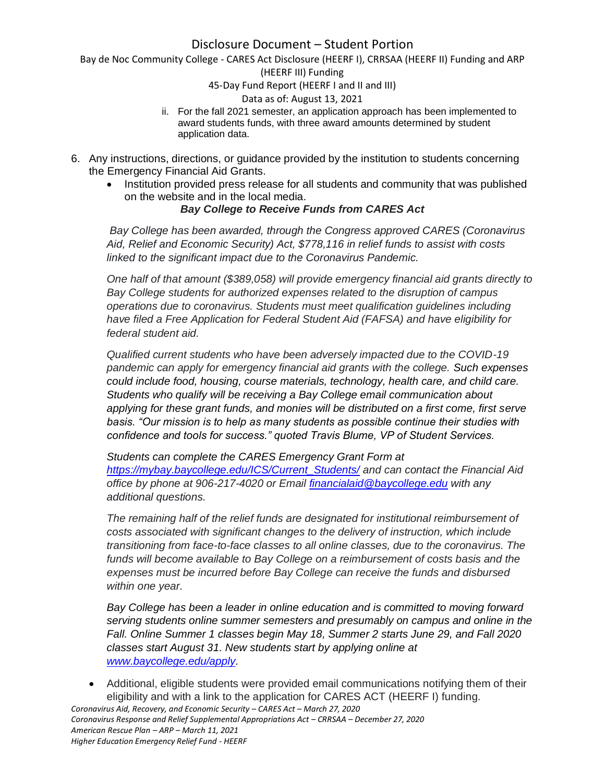Bay de Noc Community College - CARES Act Disclosure (HEERF I), CRRSAA (HEERF II) Funding and ARP

#### (HEERF III) Funding

#### 45-Day Fund Report (HEERF I and II and III)

### Data as of: August 13, 2021

- ii. For the fall 2021 semester, an application approach has been implemented to award students funds, with three award amounts determined by student application data.
- 6. Any instructions, directions, or guidance provided by the institution to students concerning the Emergency Financial Aid Grants.
	- Institution provided press release for all students and community that was published on the website and in the local media.

### *Bay College to Receive Funds from CARES Act*

*Bay College has been awarded, through the Congress approved CARES (Coronavirus Aid, Relief and Economic Security) Act, \$778,116 in relief funds to assist with costs linked to the significant impact due to the Coronavirus Pandemic.*

*One half of that amount (\$389,058) will provide emergency financial aid grants directly to Bay College students for authorized expenses related to the disruption of campus operations due to coronavirus. Students must meet qualification guidelines including have filed a Free Application for Federal Student Aid (FAFSA) and have eligibility for federal student aid.*

*Qualified current students who have been adversely impacted due to the COVID-19 pandemic can apply for emergency financial aid grants with the college. Such expenses could include food, housing, course materials, technology, health care, and child care. Students who qualify will be receiving a Bay College email communication about applying for these grant funds, and monies will be distributed on a first come, first serve basis. "Our mission is to help as many students as possible continue their studies with confidence and tools for success." quoted Travis Blume, VP of Student Services.*

*Students can complete the CARES Emergency Grant Form at [https://mybay.baycollege.edu/ICS/Current\\_Students/](https://mybay.baycollege.edu/ICS/Current_Students/) and can contact the Financial Aid office by phone at 906-217-4020 or Email [financialaid@baycollege.edu](mailto:financialaid@baycollege.edu) with any additional questions.*

*The remaining half of the relief funds are designated for institutional reimbursement of costs associated with significant changes to the delivery of instruction, which include transitioning from face-to-face classes to all online classes, due to the coronavirus. The funds will become available to Bay College on a reimbursement of costs basis and the expenses must be incurred before Bay College can receive the funds and disbursed within one year.*

*Bay College has been a leader in online education and is committed to moving forward serving students online summer semesters and presumably on campus and online in the Fall. Online Summer 1 classes begin May 18, Summer 2 starts June 29, and Fall 2020 classes start August 31. New students start by applying online at [www.baycollege.edu/apply.](http://www.baycollege.edu/apply)*

*Coronavirus Aid, Recovery, and Economic Security – CARES Act – March 27, 2020* • Additional, eligible students were provided email communications notifying them of their eligibility and with a link to the application for CARES ACT (HEERF I) funding.

*Coronavirus Response and Relief Supplemental Appropriations Act – CRRSAA – December 27, 2020 American Rescue Plan – ARP – March 11, 2021 Higher Education Emergency Relief Fund - HEERF*